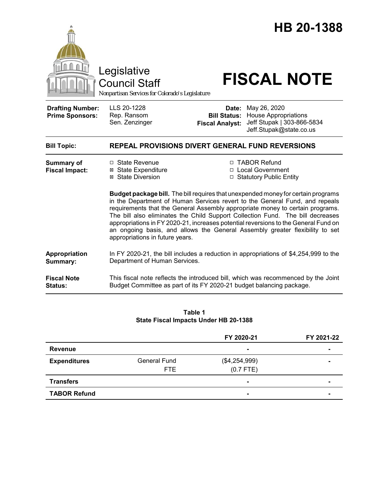|                                                   | Legislative<br><b>Council Staff</b><br>Nonpartisan Services for Colorado's Legislature                                                                                                                                                                                                                                                                                                                                                                                                                                                        |                                                        | HB 20-1388<br><b>FISCAL NOTE</b>                                                                     |  |
|---------------------------------------------------|-----------------------------------------------------------------------------------------------------------------------------------------------------------------------------------------------------------------------------------------------------------------------------------------------------------------------------------------------------------------------------------------------------------------------------------------------------------------------------------------------------------------------------------------------|--------------------------------------------------------|------------------------------------------------------------------------------------------------------|--|
| <b>Drafting Number:</b><br><b>Prime Sponsors:</b> | LLS 20-1228<br>Rep. Ransom<br>Sen. Zenzinger                                                                                                                                                                                                                                                                                                                                                                                                                                                                                                  | Date:<br><b>Bill Status:</b><br><b>Fiscal Analyst:</b> | May 26, 2020<br><b>House Appropriations</b><br>Jeff Stupak   303-866-5834<br>Jeff.Stupak@state.co.us |  |
| <b>Bill Topic:</b>                                | <b>REPEAL PROVISIONS DIVERT GENERAL FUND REVERSIONS</b>                                                                                                                                                                                                                                                                                                                                                                                                                                                                                       |                                                        |                                                                                                      |  |
| <b>Summary of</b><br><b>Fiscal Impact:</b>        | □ State Revenue<br><b>⊠</b> State Expenditure<br>⊠ State Diversion                                                                                                                                                                                                                                                                                                                                                                                                                                                                            |                                                        | □ TABOR Refund<br>□ Local Government<br>□ Statutory Public Entity                                    |  |
|                                                   | Budget package bill. The bill requires that unexpended money for certain programs<br>in the Department of Human Services revert to the General Fund, and repeals<br>requirements that the General Assembly appropriate money to certain programs.<br>The bill also eliminates the Child Support Collection Fund. The bill decreases<br>appropriations in FY 2020-21, increases potential reversions to the General Fund on<br>an ongoing basis, and allows the General Assembly greater flexibility to set<br>appropriations in future years. |                                                        |                                                                                                      |  |
| Appropriation<br>Summary:                         | In FY 2020-21, the bill includes a reduction in appropriations of \$4,254,999 to the<br>Department of Human Services.                                                                                                                                                                                                                                                                                                                                                                                                                         |                                                        |                                                                                                      |  |
| <b>Fiscal Note</b><br>Status:                     | This fiscal note reflects the introduced bill, which was recommenced by the Joint<br>Budget Committee as part of its FY 2020-21 budget balancing package.                                                                                                                                                                                                                                                                                                                                                                                     |                                                        |                                                                                                      |  |

| Table 1                               |  |  |  |  |
|---------------------------------------|--|--|--|--|
| State Fiscal Impacts Under HB 20-1388 |  |  |  |  |

|                     |                             | FY 2020-21                   | FY 2021-22 |
|---------------------|-----------------------------|------------------------------|------------|
| <b>Revenue</b>      |                             | ۰                            | ۰          |
| <b>Expenditures</b> | <b>General Fund</b><br>FTE. | (\$4,254,999)<br>$(0.7$ FTE) | -          |
| <b>Transfers</b>    |                             | $\blacksquare$               | ۰          |
| <b>TABOR Refund</b> |                             |                              |            |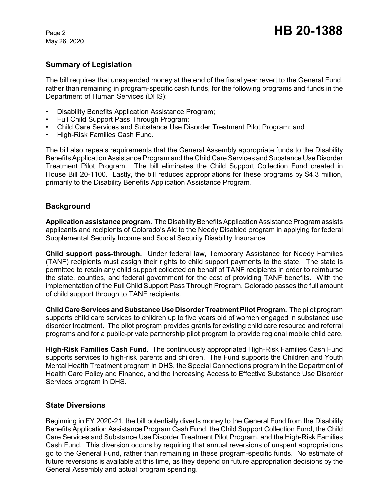May 26, 2020

# **Summary of Legislation**

The bill requires that unexpended money at the end of the fiscal year revert to the General Fund, rather than remaining in program-specific cash funds, for the following programs and funds in the Department of Human Services (DHS):

- Disability Benefits Application Assistance Program;
- Full Child Support Pass Through Program;
- Child Care Services and Substance Use Disorder Treatment Pilot Program; and
- High-Risk Families Cash Fund.

The bill also repeals requirements that the General Assembly appropriate funds to the Disability Benefits Application Assistance Program and the Child Care Services and Substance Use Disorder Treatment Pilot Program. The bill eliminates the Child Support Collection Fund created in House Bill 20-1100. Lastly, the bill reduces appropriations for these programs by \$4.3 million, primarily to the Disability Benefits Application Assistance Program.

# **Background**

**Application assistance program.** The Disability Benefits Application Assistance Program assists applicants and recipients of Colorado's Aid to the Needy Disabled program in applying for federal Supplemental Security Income and Social Security Disability Insurance.

**Child support pass-through.** Under federal law, Temporary Assistance for Needy Families (TANF) recipients must assign their rights to child support payments to the state. The state is permitted to retain any child support collected on behalf of TANF recipients in order to reimburse the state, counties, and federal government for the cost of providing TANF benefits. With the implementation of the Full Child Support Pass Through Program, Colorado passes the full amount of child support through to TANF recipients.

**Child Care Services and Substance Use Disorder Treatment Pilot Program.** The pilot program supports child care services to children up to five years old of women engaged in substance use disorder treatment. The pilot program provides grants for existing child care resource and referral programs and for a public-private partnership pilot program to provide regional mobile child care.

**High-Risk Families Cash Fund.** The continuously appropriated High-Risk Families Cash Fund supports services to high-risk parents and children. The Fund supports the Children and Youth Mental Health Treatment program in DHS, the Special Connections program in the Department of Health Care Policy and Finance, and the Increasing Access to Effective Substance Use Disorder Services program in DHS.

### **State Diversions**

Beginning in FY 2020-21, the bill potentially diverts money to the General Fund from the Disability Benefits Application Assistance Program Cash Fund, the Child Support Collection Fund, the Child Care Services and Substance Use Disorder Treatment Pilot Program, and the High-Risk Families Cash Fund. This diversion occurs by requiring that annual reversions of unspent appropriations go to the General Fund, rather than remaining in these program-specific funds. No estimate of future reversions is available at this time, as they depend on future appropriation decisions by the General Assembly and actual program spending.